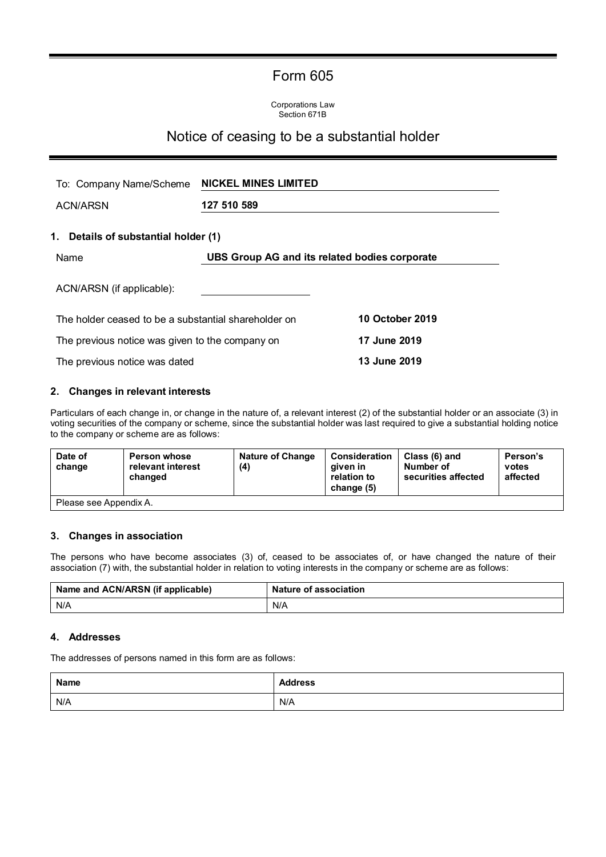# Form 605

Corporations Law Section 671B

## Notice of ceasing to be a substantial holder

| To: Company Name/Scheme                              | <b>NICKEL MINES LIMITED</b>                   |                        |
|------------------------------------------------------|-----------------------------------------------|------------------------|
| <b>ACN/ARSN</b>                                      | 127 510 589                                   |                        |
| 1. Details of substantial holder (1)                 |                                               |                        |
| Name                                                 | UBS Group AG and its related bodies corporate |                        |
| ACN/ARSN (if applicable):                            |                                               |                        |
| The holder ceased to be a substantial shareholder on |                                               | <b>10 October 2019</b> |
| The previous notice was given to the company on      |                                               | 17 June 2019           |
| The previous notice was dated                        |                                               | 13 June 2019           |

### **2. Changes in relevant interests**

Particulars of each change in, or change in the nature of, a relevant interest (2) of the substantial holder or an associate (3) in voting securities of the company or scheme, since the substantial holder was last required to give a substantial holding notice to the company or scheme are as follows:

| Date of<br>change      | <b>Person whose</b><br>relevant interest<br>changed | <b>Nature of Change</b><br>(4) | <b>Consideration</b><br>aiven in<br>relation to<br>change (5) | Class (6) and<br>Number of<br>securities affected | Person's<br>votes<br>affected |
|------------------------|-----------------------------------------------------|--------------------------------|---------------------------------------------------------------|---------------------------------------------------|-------------------------------|
| Please see Appendix A. |                                                     |                                |                                                               |                                                   |                               |

### **3. Changes in association**

The persons who have become associates (3) of, ceased to be associates of, or have changed the nature of their association (7) with, the substantial holder in relation to voting interests in the company or scheme are as follows:

| Name and ACN/ARSN (if applicable) | <b>Nature of association</b> |
|-----------------------------------|------------------------------|
| N/A                               | N/A                          |

#### **4. Addresses**

The addresses of persons named in this form are as follows:

| <b>Name</b> | <b>Address</b> |
|-------------|----------------|
| N/A         | N/A            |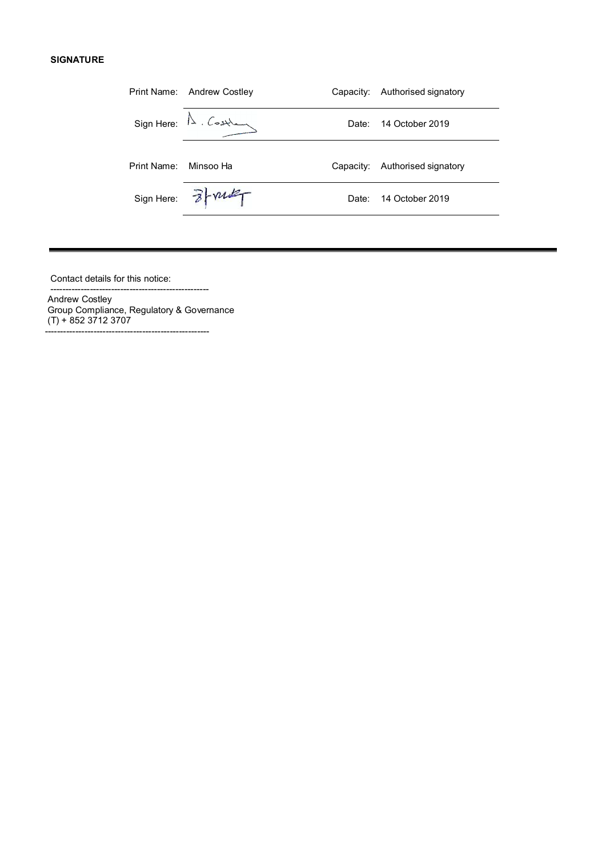#### **SIGNATURE**

|                       | Print Name: Andrew Costley                                                                                                                                                                                                                                                                                                                                      |       | Capacity: Authorised signatory |
|-----------------------|-----------------------------------------------------------------------------------------------------------------------------------------------------------------------------------------------------------------------------------------------------------------------------------------------------------------------------------------------------------------|-------|--------------------------------|
|                       | $Sign Here: \triangle . \n \n \begin{picture}(120,110) \put(0,0){\line(0,1){10}} \put(15,0){\line(0,1){10}} \put(15,0){\line(0,1){10}} \put(15,0){\line(0,1){10}} \put(15,0){\line(0,1){10}} \put(15,0){\line(0,1){10}} \put(15,0){\line(0,1){10}} \put(15,0){\line(0,1){10}} \put(15,0){\line(0,1){10}} \put(15,0){\line(0,1){10}} \put(15,0){\line(0,1){10}}$ | Date: | 14 October 2019                |
| Print Name: Minsoo Ha |                                                                                                                                                                                                                                                                                                                                                                 |       | Capacity: Authorised signatory |
|                       | Sign Here: 3- vulf                                                                                                                                                                                                                                                                                                                                              | Date: | 14 October 2019                |
|                       |                                                                                                                                                                                                                                                                                                                                                                 |       |                                |

Contact details for this notice:

---------------------------------------------------- Andrew Costley Group Compliance, Regulatory & Governance (T) + 852 3712 3707

------------------------------------------------------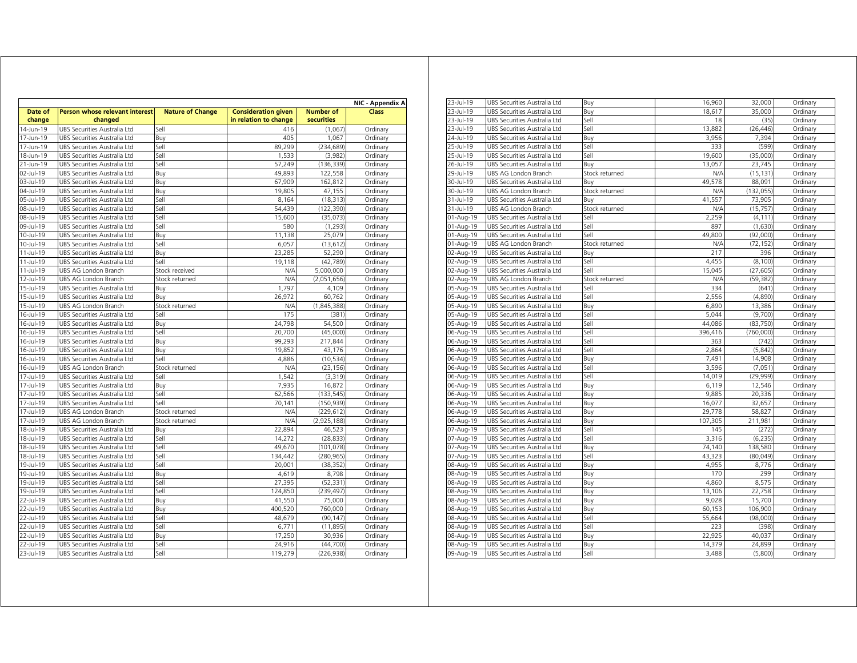|                   |                                           |                         |                                                     |                                | NIC - Appendix A |
|-------------------|-------------------------------------------|-------------------------|-----------------------------------------------------|--------------------------------|------------------|
| Date of<br>change | Person whose relevant interest<br>changed | <b>Nature of Change</b> | <b>Consideration given</b><br>in relation to change | <b>Number of</b><br>securities | Class            |
| 14-Jun-19         | UBS Securities Australia Ltd              | Sell                    | 416                                                 | (1,067)                        | Ordinary         |
| 17-Jun-19         | UBS Securities Australia Ltd              | Buv                     | 405                                                 | 1.067                          | Ordinary         |
| 17-Jun-19         | UBS Securities Australia Ltd              | Sell                    | 89,299                                              | (234, 689)                     | Ordinary         |
| 18-Jun-19         | UBS Securities Australia Ltd              | Sell                    | 1,533                                               | (3,982)                        | Ordinary         |
| 21-Jun-19         | UBS Securities Australia Ltd              | Sell                    | 57,249                                              | (136, 339)                     | Ordinary         |
| 02-Jul-19         | UBS Securities Australia Ltd              | Buy                     | 49,893                                              | 122,558                        | Ordinary         |
| 03-Jul-19         | UBS Securities Australia Ltd              | Buy                     | 67,909                                              | 162,812                        | Ordinary         |
| 04-Jul-19         | UBS Securities Australia Ltd              | Buy                     | 19,805                                              | 47,155                         | Ordinary         |
| 05-Jul-19         | UBS Securities Australia Ltd              | Sell                    | 8,164                                               | (18, 313)                      | Ordinary         |
| 08-Jul-19         | UBS Securities Australia Ltd              | Sell                    | 54,439                                              | (122, 390)                     | Ordinary         |
| 08-Jul-19         | UBS Securities Australia Ltd              | Sell                    | 15,600                                              | (35,073)                       | Ordinary         |
| 09-Jul-19         | UBS Securities Australia Ltd              | Sell                    | 580                                                 | (1,293)                        | Ordinary         |
| 10-Jul-19         | UBS Securities Australia Ltd              | Buy                     | 11,138                                              | 25,079                         | Ordinary         |
| 10-Jul-19         | UBS Securities Australia Ltd              | Sell                    | 6.057                                               | (13, 612)                      | Ordinary         |
| 11-Jul-19         | UBS Securities Australia Ltd              | Buy                     | 23,285                                              | 52,290                         | Ordinary         |
| 11-Jul-19         | UBS Securities Australia Ltd              | Sell                    | 19,118                                              | (42, 789)                      | Ordinary         |
| 11-Jul-19         | UBS AG London Branch                      | Stock received          | N/A                                                 | 5,000,000                      | Ordinary         |
| 12-Jul-19         | UBS AG London Branch                      | Stock returned          | N/A                                                 | (2,051,656)                    | Ordinary         |
| 15-Jul-19         | UBS Securities Australia Ltd              | Buy                     | 1,797                                               | 4,109                          | Ordinary         |
| 15-Jul-19         | UBS Securities Australia Ltd              | Buy                     | 26,972                                              | 60,762                         | Ordinary         |
| 15-Jul-19         | UBS AG London Branch                      | Stock returned          | N/A                                                 | (1,845,388)                    | Ordinary         |
| 16-Jul-19         | UBS Securities Australia Ltd              | Sell                    | 175                                                 | (381)                          | Ordinary         |
| 16-Jul-19         | UBS Securities Australia Ltd              | Buy                     | 24,798                                              | 54,500                         | Ordinary         |
| 16-Jul-19         | UBS Securities Australia Ltd              | Sell                    | 20.700                                              | (45,000)                       | Ordinary         |
| 16-Jul-19         | UBS Securities Australia Ltd              | Buy                     | 99,293                                              | 217,844                        | Ordinary         |
| 16-Jul-19         | UBS Securities Australia Ltd              | Buy                     | 19,852                                              | 43,176                         | Ordinary         |
| 16-Jul-19         | UBS Securities Australia Ltd              | Sell                    | 4,886                                               | (10, 534)                      | Ordinary         |
| 16-Jul-19         | UBS AG London Branch                      | Stock returned          | N/A                                                 | (23, 156)                      | Ordinary         |
| 17-Jul-19         | UBS Securities Australia Ltd              | Sell                    | 1,542                                               | (3,319)                        | Ordinary         |
| 17-Jul-19         | UBS Securities Australia Ltd              | Buy                     | 7,935                                               | 16,872                         | Ordinary         |
| 17-Jul-19         | UBS Securities Australia Ltd              | Sell                    | 62,566                                              | (133, 545)                     | Ordinary         |
| 17-Jul-19         | UBS Securities Australia Ltd              | Sell                    | 70,141                                              | (150, 939)                     | Ordinary         |
| 17-Jul-19         | UBS AG London Branch                      | Stock returned          | N/A                                                 | (229, 612)                     | Ordinary         |
| 17-Jul-19         | UBS AG London Branch                      | Stock returned          | N/A                                                 | (2,925,188)                    | Ordinary         |
| 18-Jul-19         | UBS Securities Australia Ltd              | Buy                     | 22.894                                              | 46,523                         | Ordinary         |
| 18-Jul-19         | UBS Securities Australia Ltd              | Sell                    | 14,272                                              | (28, 833)                      | Ordinary         |
| 18-Jul-19         | UBS Securities Australia Ltd              | Sell                    | 49,670                                              | (101, 078)                     | Ordinary         |
| 18-Jul-19         | UBS Securities Australia Ltd              | Sell                    | 134,442                                             | (280, 965)                     | Ordinary         |
| 19-Jul-19         | UBS Securities Australia Ltd              | Sell                    | 20,001                                              | (38, 352)                      | Ordinary         |
| $19 -$ Jul-19     | UBS Securities Australia Ltd              | Buy                     | 4,619                                               | 8,798                          | Ordinary         |
| 19-Jul-19         | UBS Securities Australia Ltd              | Sell                    | 27,395                                              | (52, 331)                      | Ordinary         |
| 19-Jul-19         | UBS Securities Australia Ltd              | Sell                    | 124,850                                             | (239, 497)                     | Ordinary         |
| 22-Jul-19         | UBS Securities Australia Ltd              | Buy                     | 41,550                                              | 75,000                         | Ordinary         |
| 22-Jul-19         | UBS Securities Australia Ltd              | Buy                     | 400,520                                             | 760,000                        | Ordinary         |
| 22-Jul-19         | UBS Securities Australia Ltd              | Sell                    | 48,679                                              | (90, 147)                      | Ordinary         |
| 22-Jul-19         | UBS Securities Australia Ltd              | Sell                    | 6,771                                               | (11, 895)                      | Ordinary         |
| 22-Jul-19         | UBS Securities Australia Ltd              | Buy                     | 17,250                                              | 30,936                         | Ordinary         |
| 22-Jul-19         | UBS Securities Australia Ltd              | Sell                    | 24,916                                              | (44, 700)                      | Ordinary         |
| 23-Jul-19         | UBS Securities Australia Ltd              | Sell                    | 119,279                                             | (226, 938)                     | Ordinary         |

| 23-Jul-19 | UBS Securities Australia Ltd | Buy            | 16,960  | 32,000     | Ordinary |
|-----------|------------------------------|----------------|---------|------------|----------|
| 23-Jul-19 | UBS Securities Australia Ltd | Buy            | 18,617  | 35,000     | Ordinary |
| 23-Jul-19 | UBS Securities Australia Ltd | Sell           | 18      | (35)       | Ordinary |
| 23-Jul-19 | UBS Securities Australia Ltd | Sell           | 13,882  | (26, 446)  | Ordinary |
| 24-Jul-19 | UBS Securities Australia Ltd | Buy            | 3,956   | 7,394      | Ordinary |
| 25-Jul-19 | UBS Securities Australia Ltd | Sell           | 333     | (599)      | Ordinary |
| 25-Jul-19 | UBS Securities Australia Ltd | Sell           | 19,600  | (35,000)   | Ordinary |
| 26-Jul-19 | UBS Securities Australia Ltd | Buy            | 13,057  | 23,745     | Ordinary |
| 29-Jul-19 | UBS AG London Branch         | Stock returned | N/A     | (15, 131)  | Ordinary |
| 30-Jul-19 | UBS Securities Australia Ltd | Buy            | 49,578  | 88,091     | Ordinary |
| 30-Jul-19 | UBS AG London Branch         | Stock returned | N/A     | (132, 055) | Ordinary |
| 31-Jul-19 | UBS Securities Australia Ltd | Buv            | 41,557  | 73,905     | Ordinary |
| 31-Jul-19 | UBS AG London Branch         | Stock returned | N/A     | (15, 757)  | Ordinary |
| 01-Aug-19 | UBS Securities Australia Ltd | Sell           | 2,259   | (4, 111)   | Ordinary |
| 01-Aug-19 | UBS Securities Australia Ltd | Sell           | 897     | (1,630)    | Ordinary |
| 01-Aug-19 | UBS Securities Australia Ltd | Sell           | 49.800  | (92,000)   | Ordinary |
| 01-Aug-19 | UBS AG London Branch         | Stock returned | N/A     | (72, 152)  | Ordinary |
| 02-Aug-19 | UBS Securities Australia Ltd | Buy            | 217     | 396        | Ordinary |
| 02-Aug-19 | UBS Securities Australia Ltd | Sell           | 4,455   | (8, 100)   | Ordinary |
| 02-Aug-19 | UBS Securities Australia Ltd | Sell           | 15,045  | (27, 605)  | Ordinary |
| 02-Aug-19 | UBS AG London Branch         | Stock returned | N/A     | (59, 382)  | Ordinary |
| 05-Aug-19 | UBS Securities Australia Ltd | Sell           | 334     | (641)      | Ordinary |
| 05-Aug-19 | UBS Securities Australia Ltd | Sell           | 2,556   | (4,890)    | Ordinary |
| 05-Aug-19 | UBS Securities Australia Ltd | Buy            | 6,890   | 13,386     | Ordinary |
| 05-Aug-19 | UBS Securities Australia Ltd | Sell           | 5,044   | (9,700)    | Ordinary |
| 05-Aug-19 | UBS Securities Australia Ltd | Sell           | 44,086  | (83, 750)  | Ordinary |
| 06-Aug-19 | UBS Securities Australia Ltd | Sell           | 396,416 | (760,000)  | Ordinary |
| 06-Aug-19 | UBS Securities Australia Ltd | Sell           | 363     | (742)      | Ordinary |
| 06-Aug-19 | UBS Securities Australia Ltd | Sell           | 2,864   | (5, 842)   | Ordinary |
| 06-Aug-19 | UBS Securities Australia Ltd | Buy            | 7,491   | 14,908     | Ordinary |
| 06-Aug-19 | UBS Securities Australia Ltd | Sell           | 3,596   | (7,051)    | Ordinary |
| 06-Aug-19 | UBS Securities Australia Ltd | Sell           | 14,019  | (29,999)   | Ordinary |
| 06-Aug-19 | UBS Securities Australia Ltd | Buy            | 6,119   | 12,546     | Ordinary |
| 06-Aug-19 | UBS Securities Australia Ltd | Buy            | 9,885   | 20,336     | Ordinary |
| 06-Aug-19 | UBS Securities Australia Ltd | Buy            | 16,077  | 32,657     | Ordinary |
| 06-Aug-19 | UBS Securities Australia Ltd | Buy            | 29,778  | 58,827     | Ordinary |
| 06-Aug-19 | UBS Securities Australia Ltd | Buy            | 107,305 | 211,981    | Ordinary |
| 07-Aug-19 | UBS Securities Australia Ltd | Sell           | 145     | (272)      | Ordinary |
| 07-Aug-19 | UBS Securities Australia Ltd | Sell           | 3,316   | (6, 235)   | Ordinary |
| 07-Aug-19 | UBS Securities Australia Ltd | Buy            | 74,140  | 138,580    | Ordinary |
| 07-Aug-19 | UBS Securities Australia Ltd | Sell           | 43,323  | (80,049)   | Ordinary |
| 08-Aug-19 | UBS Securities Australia Ltd | Buy            | 4,955   | 8,776      | Ordinary |
| 08-Aug-19 | UBS Securities Australia Ltd | Buy            | 170     | 299        | Ordinary |
| 08-Aug-19 | UBS Securities Australia Ltd | Buy            | 4.860   | 8,575      | Ordinary |
| 08-Aug-19 | UBS Securities Australia Ltd | Buy            | 13,106  | 22,758     | Ordinary |
| 08-Aug-19 | UBS Securities Australia Ltd | Buy            | 9,028   | 15,700     | Ordinary |
| 08-Aug-19 | UBS Securities Australia Ltd | Buy            | 60,153  | 106,900    | Ordinary |
| 08-Aug-19 | UBS Securities Australia Ltd | Sell           | 55,664  | (98,000)   | Ordinary |
| 08-Aug-19 | UBS Securities Australia Ltd | Sell           | 223     | (398)      | Ordinary |
| 08-Aug-19 | UBS Securities Australia Ltd | Buy            | 22,925  | 40,037     | Ordinary |
| 08-Aug-19 | UBS Securities Australia Ltd | Buy            | 14,379  | 24,899     | Ordinary |
| 09-Aug-19 | UBS Securities Australia Ltd | Sell           | 3,488   | (5,800)    | Ordinary |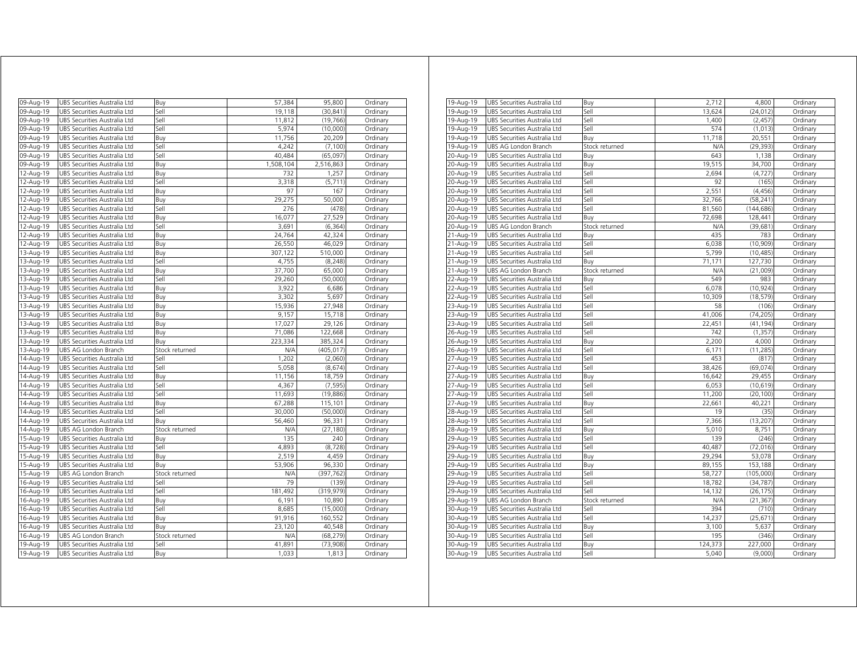| 09-Aug-19 | UBS Securities Australia Ltd | Buy            | 57,384    | 95,800     | Ordinary |
|-----------|------------------------------|----------------|-----------|------------|----------|
| 09-Aug-19 | UBS Securities Australia Ltd | Sell           | 19,118    | (30, 841)  | Ordinary |
| 09-Aug-19 | UBS Securities Australia Ltd | Sell           | 11,812    | (19, 766)  | Ordinary |
| 09-Aug-19 | UBS Securities Australia Ltd | Sell           | 5,974     | (10,000)   | Ordinary |
| 09-Aug-19 | UBS Securities Australia Ltd | Buy            | 11,756    | 20,209     | Ordinary |
| 09-Aug-19 | UBS Securities Australia Ltd | Sell           | 4,242     | (7, 100)   | Ordinary |
| 09-Aug-19 | UBS Securities Australia Ltd | Sell           | 40,484    | (65,097)   | Ordinary |
| 09-Aug-19 | UBS Securities Australia Ltd | Buy            | 1,508,104 | 2,516,863  | Ordinary |
| 12-Aug-19 | UBS Securities Australia Ltd | Buy            | 732       | 1,257      | Ordinary |
| 12-Aug-19 | UBS Securities Australia Ltd | Sell           | 3,318     | (5,711)    | Ordinary |
| 12-Aug-19 | UBS Securities Australia Ltd | Buy            | 97        | 167        | Ordinary |
| 12-Aug-19 | UBS Securities Australia Ltd | Buy            | 29,275    | 50,000     | Ordinary |
| 12-Aug-19 | UBS Securities Australia Ltd | Sell           | 276       | (478)      | Ordinary |
| 12-Aug-19 | UBS Securities Australia Ltd | Buy            | 16,077    | 27,529     | Ordinary |
| 12-Aug-19 | UBS Securities Australia Ltd | Sell           | 3,691     | (6, 364)   | Ordinary |
| 12-Aug-19 | UBS Securities Australia Ltd | Buy            | 24,764    | 42,324     | Ordinary |
| 12-Aug-19 | UBS Securities Australia Ltd | Buy            | 26,550    | 46,029     | Ordinary |
| 13-Aug-19 | UBS Securities Australia Ltd | Buy            | 307,122   | 510,000    | Ordinary |
| 13-Aug-19 | UBS Securities Australia Ltd | Sell           | 4,755     | (8, 248)   | Ordinary |
| 13-Aug-19 | UBS Securities Australia Ltd | Buy            | 37,700    | 65,000     | Ordinary |
| 13-Aug-19 | UBS Securities Australia Ltd | Sell           | 29,260    | (50,000)   | Ordinary |
| 13-Aug-19 | UBS Securities Australia Ltd | Buv            | 3,922     | 6,686      | Ordinary |
| 13-Aug-19 | UBS Securities Australia Ltd | Buy            | 3,302     | 5,697      | Ordinary |
| 13-Aug-19 | UBS Securities Australia Ltd | Buy            | 15,936    | 27,948     | Ordinary |
| 13-Aug-19 | UBS Securities Australia Ltd | Buy            | 9,157     | 15,718     | Ordinary |
| 13-Aug-19 | UBS Securities Australia Ltd | Buy            | 17,027    | 29,126     | Ordinary |
| 13-Aug-19 | UBS Securities Australia Ltd | Buy            | 71,086    | 122,668    | Ordinary |
| 13-Aug-19 | UBS Securities Australia Ltd | Buy            | 223,334   | 385,324    | Ordinary |
| 13-Aug-19 | UBS AG London Branch         | Stock returned | N/A       | (405, 017) | Ordinary |
| 14-Aug-19 | UBS Securities Australia Ltd | Sell           | 1,202     | (2,060)    | Ordinary |
| 14-Aug-19 | UBS Securities Australia Ltd | Sell           | 5,058     | (8,674)    | Ordinary |
| 14-Aug-19 | UBS Securities Australia Ltd | Buy            | 11,156    | 18,759     | Ordinary |
| 14-Aug-19 | UBS Securities Australia Ltd | Sell           | 4,367     | (7, 595)   | Ordinary |
| 14-Aug-19 | UBS Securities Australia Ltd | Sell           | 11,693    | (19, 886)  | Ordinary |
| 14-Aug-19 | UBS Securities Australia Ltd | Buy            | 67,288    | 115,101    | Ordinary |
| 14-Aug-19 | UBS Securities Australia Ltd | Sell           | 30,000    | (50,000)   | Ordinary |
| 14-Aug-19 | UBS Securities Australia Ltd | Buy            | 56,460    | 96,331     | Ordinary |
| 14-Aug-19 | UBS AG London Branch         | Stock returned | N/A       | (27, 180)  | Ordinary |
| 15-Aug-19 | UBS Securities Australia Ltd | Buy            | 135       | 240        | Ordinary |
| 15-Aug-19 | UBS Securities Australia Ltd | Sell           | 4,893     | (8, 728)   | Ordinary |
| 15-Aug-19 | UBS Securities Australia Ltd | Buy            | 2,519     | 4,459      | Ordinary |
| 15-Aug-19 | UBS Securities Australia Ltd | Buy            | 53,906    | 96,330     | Ordinary |
| 15-Aug-19 | UBS AG London Branch         | Stock returned | N/A       | (397, 762) | Ordinary |
| 16-Aug-19 | UBS Securities Australia Ltd | Sell           | 79        | (139)      | Ordinary |
| 16-Aug-19 | UBS Securities Australia Ltd | Sell           | 181,492   | (319, 979) | Ordinary |
| 16-Aug-19 | UBS Securities Australia Ltd | Buy            | 6,191     | 10,890     | Ordinary |
| 16-Aug-19 | UBS Securities Australia Ltd | Sell           | 8,685     | (15,000)   | Ordinary |
| 16-Aug-19 | UBS Securities Australia Ltd | Buy            | 91,916    | 160,552    | Ordinary |
| 16-Aug-19 | UBS Securities Australia Ltd | Buy            | 23,120    | 40,548     | Ordinary |
| 16-Aug-19 | UBS AG London Branch         | Stock returned | N/A       | (68, 279)  | Ordinary |
| 19-Aug-19 | UBS Securities Australia Ltd | Sell           | 41,891    | (73,908)   | Ordinary |
| 19-Aug-19 | UBS Securities Australia Ltd |                | 1,033     | 1,813      | Ordinary |
|           |                              | Buy            |           |            |          |

| 19-Aug-19 | UBS Securities Australia Ltd | Buy            | 2,712   | 4,800      | Ordinary |
|-----------|------------------------------|----------------|---------|------------|----------|
| 19-Aug-19 | UBS Securities Australia Ltd | Sell           | 13,624  | (24, 012)  | Ordinary |
| 19-Aug-19 | UBS Securities Australia Ltd | Sell           | 1,400   | (2, 457)   | Ordinary |
| 19-Aug-19 | UBS Securities Australia Ltd | Sell           | 574     | (1,013)    | Ordinary |
| 19-Aug-19 | UBS Securities Australia Ltd | Buy            | 11,718  | 20,551     | Ordinary |
| 19-Aug-19 | UBS AG London Branch         | Stock returned | N/A     | (29, 393)  | Ordinary |
| 20-Aug-19 | UBS Securities Australia Ltd | Buy            | 643     | 1,138      | Ordinary |
| 20-Aug-19 | UBS Securities Australia Ltd | Buy            | 19,515  | 34,700     | Ordinary |
| 20-Aug-19 | UBS Securities Australia Ltd | Sell           | 2,694   | (4, 727)   | Ordinary |
| 20-Aug-19 | UBS Securities Australia Ltd | Sell           | 92      | (165)      | Ordinary |
| 20-Aug-19 | UBS Securities Australia Ltd | Sell           | 2,551   | (4, 456)   | Ordinary |
| 20-Aug-19 | UBS Securities Australia Ltd | Sell           | 32,766  | (58, 241)  | Ordinary |
| 20-Aug-19 | UBS Securities Australia Ltd | Sell           | 81,560  | (144, 686) | Ordinary |
| 20-Aug-19 | UBS Securities Australia Ltd | Buy            | 72,698  | 128,441    | Ordinary |
| 20-Aug-19 | UBS AG London Branch         | Stock returned | N/A     | (39, 681)  | Ordinary |
| 21-Aug-19 | UBS Securities Australia Ltd | Buy            | 435     | 783        | Ordinary |
| 21-Aug-19 | UBS Securities Australia Ltd | Sell           | 6,038   | (10, 909)  | Ordinary |
| 21-Aug-19 | UBS Securities Australia Ltd | Sell           | 5,799   | (10, 485)  | Ordinary |
| 21-Aug-19 | UBS Securities Australia Ltd | Buy            | 71,171  | 127,730    | Ordinary |
| 21-Aug-19 | UBS AG London Branch         | Stock returned | N/A     | (21,009)   | Ordinary |
| 22-Aug-19 | UBS Securities Australia Ltd | Buy            | 549     | 983        | Ordinary |
| 22-Aug-19 | UBS Securities Australia Ltd | Sell           | 6,078   | (10, 924)  | Ordinary |
| 22-Aug-19 | UBS Securities Australia Ltd | Sell           | 10,309  | (18, 579)  | Ordinary |
| 23-Aug-19 | UBS Securities Australia Ltd | Sell           | 58      | (106)      | Ordinary |
| 23-Aug-19 | UBS Securities Australia Ltd | Sell           | 41,006  | (74, 205)  | Ordinary |
| 23-Aug-19 | UBS Securities Australia Ltd | Sell           | 22,451  | (41, 194)  | Ordinary |
| 26-Aug-19 | UBS Securities Australia Ltd | Sell           | 742     | (1, 357)   | Ordinary |
| 26-Aug-19 | UBS Securities Australia Ltd | Buy            | 2,200   | 4,000      | Ordinary |
| 26-Aug-19 | UBS Securities Australia Ltd | Sell           | 6,171   | (11, 285)  | Ordinary |
| 27-Aug-19 | UBS Securities Australia Ltd | Sell           | 453     | (817)      | Ordinary |
| 27-Aug-19 | UBS Securities Australia Ltd | Sell           | 38,426  | (69, 074)  | Ordinary |
| 27-Aug-19 | UBS Securities Australia Ltd | Buy            | 16,642  | 29,455     | Ordinary |
| 27-Aug-19 | UBS Securities Australia Ltd | Sell           | 6,053   | (10, 619)  | Ordinary |
| 27-Aug-19 | UBS Securities Australia Ltd | Sell           | 11,200  | (20, 100)  | Ordinary |
| 27-Aug-19 | UBS Securities Australia Ltd | Buy            | 22,661  | 40,221     | Ordinary |
| 28-Aug-19 | UBS Securities Australia Ltd | Sell           | 19      | (35)       | Ordinary |
| 28-Aug-19 | UBS Securities Australia Ltd | Sell           | 7,366   | (13, 207)  | Ordinary |
| 28-Aug-19 | UBS Securities Australia Ltd | Buy            | 5,010   | 8,751      | Ordinary |
| 29-Aug-19 | UBS Securities Australia Ltd | Sell           | 139     | (246)      | Ordinary |
| 29-Aug-19 | UBS Securities Australia Ltd | Sell           | 40,487  | (72, 016)  | Ordinary |
| 29-Aug-19 | UBS Securities Australia Ltd | Buy            | 29,294  | 53,078     | Ordinary |
| 29-Aug-19 | UBS Securities Australia Ltd | Buy            | 89,155  | 153,188    | Ordinary |
| 29-Aug-19 | UBS Securities Australia Ltd | Sell           | 58,727  | (105,000)  | Ordinary |
| 29-Aug-19 | UBS Securities Australia Ltd | Sell           | 18,782  | (34, 787)  | Ordinary |
| 29-Aug-19 | UBS Securities Australia Ltd | Sell           | 14,132  | (26, 175)  | Ordinary |
| 29-Aug-19 | UBS AG London Branch         | Stock returned | N/A     | (21, 367)  | Ordinary |
| 30-Aug-19 | UBS Securities Australia Ltd | Sell           | 394     | (710)      | Ordinary |
| 30-Aug-19 | UBS Securities Australia Ltd | Sell           | 14,237  | (25, 671)  | Ordinary |
| 30-Aug-19 | UBS Securities Australia Ltd | Buy            | 3,100   | 5,637      | Ordinary |
| 30-Aug-19 | UBS Securities Australia Ltd | Sell           | 195     | (346)      | Ordinary |
| 30-Aug-19 | UBS Securities Australia Ltd | Buy            | 124,373 | 227,000    | Ordinary |
| 30-Aug-19 | UBS Securities Australia Ltd | Sell           | 5,040   | (9,000)    | Ordinary |
|           |                              |                |         |            |          |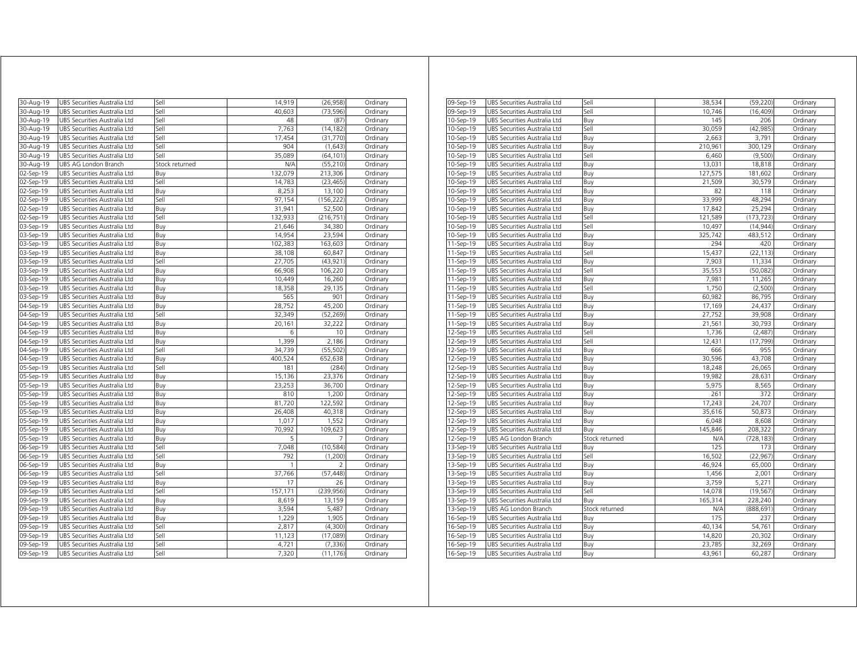| 30-Aug-19 | UBS Securities Australia Ltd | Sell           | 14,919  | (26, 958)  | Ordinary |
|-----------|------------------------------|----------------|---------|------------|----------|
| 30-Aug-19 | UBS Securities Australia Ltd | Sell           | 40,603  | (73, 596)  | Ordinary |
| 30-Aug-19 | UBS Securities Australia Ltd | Sell           | 48      | (87)       | Ordinary |
| 30-Aug-19 | UBS Securities Australia Ltd | Sell           | 7,763   | (14, 182)  | Ordinary |
| 30-Aug-19 | UBS Securities Australia Ltd | Sell           | 17,454  | (31, 770)  | Ordinary |
| 30-Aug-19 | UBS Securities Australia Ltd | Sell           | 904     | (1,643)    | Ordinary |
| 30-Aug-19 | UBS Securities Australia Ltd | Sell           | 35,089  | (64, 101)  | Ordinary |
| 30-Aug-19 | UBS AG London Branch         | Stock returned | N/A     | (55, 210)  | Ordinary |
| 02-Sep-19 | UBS Securities Australia Ltd | Buy            | 132,079 | 213,306    | Ordinary |
| 02-Sep-19 | UBS Securities Australia Ltd | Sell           | 14,783  | (23, 465)  | Ordinary |
| 02-Sep-19 | UBS Securities Australia Ltd | Buy            | 8,253   | 13,100     | Ordinary |
| 02-Sep-19 | UBS Securities Australia Ltd | Sell           | 97,154  | (156, 222) | Ordinary |
| 02-Sep-19 | UBS Securities Australia Ltd | Buy            | 31.941  | 52,500     | Ordinary |
| 02-Sep-19 | UBS Securities Australia Ltd | Sell           | 132,933 | (216, 751) | Ordinary |
| 03-Sep-19 | UBS Securities Australia Ltd | Buy            | 21,646  | 34,380     | Ordinary |
| 03-Sep-19 | UBS Securities Australia Ltd | Buy            | 14,954  | 23,594     | Ordinary |
| 03-Sep-19 | UBS Securities Australia Ltd | Buy            | 102,383 | 163,603    | Ordinary |
| 03-Sep-19 | UBS Securities Australia Ltd | Buy            | 38,108  | 60,847     | Ordinary |
| 03-Sep-19 | UBS Securities Australia Ltd | Sell           | 27,705  | (43, 921)  | Ordinary |
| 03-Sep-19 | UBS Securities Australia Ltd | Buy            | 66,908  | 106,220    | Ordinary |
| 03-Sep-19 | UBS Securities Australia Ltd | Buy            | 10,449  | 16,260     | Ordinary |
| 03-Sep-19 | UBS Securities Australia Ltd | Buy            | 18,358  | 29,135     | Ordinary |
| 03-Sep-19 | UBS Securities Australia Ltd | Buy            | 565     | 901        | Ordinary |
| 04-Sep-19 | UBS Securities Australia Ltd | Buy            | 28,752  | 45,200     | Ordinary |
| 04-Sep-19 | UBS Securities Australia Ltd | Sell           | 32,349  | (52, 269)  | Ordinary |
| 04-Sep-19 | UBS Securities Australia Ltd | Buy            | 20,161  | 32,222     | Ordinary |
| 04-Sep-19 | UBS Securities Australia Ltd | Buy            | 6       | 10         | Ordinary |
| 04-Sep-19 | UBS Securities Australia Ltd | Buy            | 1,399   | 2,186      | Ordinary |
| 04-Sep-19 | UBS Securities Australia Ltd | Sell           | 34.739  | (55, 502)  | Ordinary |
| 04-Sep-19 | UBS Securities Australia Ltd | Buy            | 400,524 | 652,638    | Ordinary |
| 05-Sep-19 | UBS Securities Australia Ltd | Sell           | 181     | (284)      | Ordinary |
| 05-Sep-19 | UBS Securities Australia Ltd | Buy            | 15,136  | 23,376     | Ordinary |
| 05-Sep-19 | UBS Securities Australia Ltd | Buy            | 23,253  | 36,700     | Ordinary |
| 05-Sep-19 | UBS Securities Australia Ltd | Buy            | 810     | 1,200      | Ordinary |
| 05-Sep-19 | UBS Securities Australia Ltd | Buy            | 81,720  | 122,592    | Ordinary |
| 05-Sep-19 | UBS Securities Australia Ltd | Buy            | 26,408  | 40,318     | Ordinary |
| 05-Sep-19 | UBS Securities Australia Ltd | Buy            | 1,017   | 1,552      | Ordinary |
| 05-Sep-19 | UBS Securities Australia Ltd | Buy            | 70,992  | 109,623    | Ordinary |
| 05-Sep-19 | UBS Securities Australia Ltd | Buy            | 5       | 7          | Ordinary |
| 06-Sep-19 | UBS Securities Australia Ltd | Sell           | 7,048   | (10, 584)  | Ordinary |
| 06-Sep-19 | UBS Securities Australia Ltd | Sell           | 792     | (1, 200)   | Ordinary |
| 06-Sep-19 | UBS Securities Australia Ltd | Buy            | 1       | 2          | Ordinary |
| 06-Sep-19 | UBS Securities Australia Ltd | Sell           | 37,766  | (57, 448)  | Ordinary |
| 09-Sep-19 | UBS Securities Australia Ltd | Buy            | 17      | 26         | Ordinary |
| 09-Sep-19 | UBS Securities Australia Ltd | Sell           | 157,171 | (239, 956) | Ordinary |
| 09-Sep-19 | UBS Securities Australia Ltd | Buy            | 8,619   | 13,159     | Ordinary |
| 09-Sep-19 | UBS Securities Australia Ltd | Buy            | 3,594   | 5,487      | Ordinary |
| 09-Sep-19 | UBS Securities Australia Ltd | Buy            | 1,229   | 1,905      | Ordinary |
| 09-Sep-19 | UBS Securities Australia Ltd | Sell           | 2,817   | (4,300)    | Ordinary |
| 09-Sep-19 | UBS Securities Australia Ltd | Sell           | 11,123  | (17,089)   | Ordinary |
| 09-Sep-19 | UBS Securities Australia Ltd | Sell           | 4,721   | (7, 336)   | Ordinary |
| 09-Sep-19 | UBS Securities Australia Ltd | Sell           | 7,320   | (11, 176)  | Ordinary |

| 09-Sep-19 | UBS Securities Australia Ltd | Sell           | 38,534  | (59, 220)  | Ordinary |
|-----------|------------------------------|----------------|---------|------------|----------|
| 09-Sep-19 | UBS Securities Australia Ltd | Sell           | 10.746  | (16, 409)  | Ordinary |
| 10-Sep-19 | UBS Securities Australia Ltd | Buy            | 145     | 206        | Ordinary |
| 10-Sep-19 | UBS Securities Australia Ltd | Sell           | 30,059  | (42, 985)  | Ordinary |
| 10-Sep-19 | UBS Securities Australia Ltd | Buy            | 2,663   | 3,791      | Ordinary |
| 10-Sep-19 | UBS Securities Australia Ltd | Buy            | 210,961 | 300,129    | Ordinary |
| 10-Sep-19 | UBS Securities Australia Ltd | Sell           | 6,460   | (9,500)    | Ordinary |
| 10-Sep-19 | UBS Securities Australia Ltd | Buy            | 13,031  | 18,818     | Ordinary |
| 10-Sep-19 | UBS Securities Australia Ltd | Buy            | 127,575 | 181,602    | Ordinary |
| 10-Sep-19 | UBS Securities Australia Ltd | Buy            | 21,509  | 30,579     | Ordinary |
| 10-Sep-19 | UBS Securities Australia Ltd | Buy            | 82      | 118        | Ordinary |
| 10-Sep-19 | UBS Securities Australia Ltd | Buy            | 33,999  | 48,294     | Ordinary |
| 10-Sep-19 | UBS Securities Australia Ltd | Buy            | 17,842  | 25,294     | Ordinary |
| 10-Sep-19 | UBS Securities Australia Ltd | Sell           | 121,589 | (173, 723) | Ordinary |
| 10-Sep-19 | UBS Securities Australia Ltd | Sell           | 10,497  | (14, 944)  | Ordinary |
| 10-Sep-19 | UBS Securities Australia Ltd | Buy            | 325,742 | 483,512    | Ordinary |
| 11-Sep-19 | UBS Securities Australia Ltd | Buy            | 294     | 420        | Ordinary |
| 11-Sep-19 | UBS Securities Australia Ltd | Sell           | 15,437  | (22, 113)  | Ordinary |
| 11-Sep-19 | UBS Securities Australia Ltd | Buy            | 7,903   | 11,334     | Ordinary |
| 11-Sep-19 | UBS Securities Australia Ltd | Sell           | 35,553  | (50,082)   | Ordinary |
| 11-Sep-19 | UBS Securities Australia Ltd | Buy            | 7,981   | 11,265     | Ordinary |
| 11-Sep-19 | UBS Securities Australia Ltd | Sell           | 1,750   | (2,500)    | Ordinary |
| 11-Sep-19 | UBS Securities Australia Ltd | Buy            | 60,982  | 86,795     | Ordinary |
| 11-Sep-19 | UBS Securities Australia Ltd | Buy            | 17,169  | 24,437     | Ordinary |
| 11-Sep-19 | UBS Securities Australia Ltd | Buy            | 27,752  | 39,908     | Ordinary |
| 11-Sep-19 | UBS Securities Australia Ltd | Buy            | 21,561  | 30,793     | Ordinary |
| 12-Sep-19 | UBS Securities Australia Ltd | Sell           | 1,736   | (2,487)    | Ordinary |
| 12-Sep-19 | UBS Securities Australia Ltd | Sell           | 12,431  | (17, 799)  | Ordinary |
| 12-Sep-19 | UBS Securities Australia Ltd | Buy            | 666     | 955        | Ordinary |
| 12-Sep-19 | UBS Securities Australia Ltd | Buy            | 30,596  | 43,708     | Ordinary |
| 12-Sep-19 | UBS Securities Australia Ltd | Buy            | 18,248  | 26,065     | Ordinary |
| 12-Sep-19 | UBS Securities Australia Ltd | Buy            | 19,982  | 28,631     | Ordinary |
| 12-Sep-19 | UBS Securities Australia Ltd | Buy            | 5,975   | 8,565      | Ordinary |
| 12-Sep-19 | UBS Securities Australia Ltd | Buy            | 261     | 372        | Ordinary |
| 12-Sep-19 | UBS Securities Australia Ltd | Buy            | 17,243  | 24,707     | Ordinary |
| 12-Sep-19 | UBS Securities Australia Ltd | Buy            | 35,616  | 50,873     | Ordinary |
| 12-Sep-19 | UBS Securities Australia Ltd | Buy            | 6,048   | 8,608      | Ordinary |
| 12-Sep-19 | UBS Securities Australia Ltd | Buy            | 145,846 | 208,322    | Ordinary |
| 12-Sep-19 | UBS AG London Branch         | Stock returned | N/A     | (728, 183) | Ordinary |
| 13-Sep-19 | UBS Securities Australia Ltd | Buy            | 125     | 173        | Ordinary |
| 13-Sep-19 | UBS Securities Australia Ltd | Sell           | 16,502  | (22, 967)  | Ordinary |
| 13-Sep-19 | UBS Securities Australia Ltd | Buy            | 46,924  | 65,000     | Ordinary |
| 13-Sep-19 | UBS Securities Australia Ltd | Buy            | 1,456   | 2,001      | Ordinary |
| 13-Sep-19 | UBS Securities Australia Ltd | Buy            | 3,759   | 5,271      | Ordinary |
| 13-Sep-19 | UBS Securities Australia Ltd | Sell           | 14,078  | (19, 567)  | Ordinary |
| 13-Sep-19 | UBS Securities Australia Ltd | Buy            | 165,314 | 228,240    | Ordinary |
| 13-Sep-19 | UBS AG London Branch         | Stock returned | N/A     | (888,691   | Ordinary |
| 16-Sep-19 | UBS Securities Australia Ltd | Buy            | 175     | 237        | Ordinary |
| 16-Sep-19 | UBS Securities Australia Ltd | Buy            | 40,134  | 54,761     | Ordinary |
| 16-Sep-19 | UBS Securities Australia Ltd | Buy            | 14,820  | 20,302     | Ordinary |
| 16-Sep-19 | UBS Securities Australia Ltd | Buy            | 23,785  | 32,269     | Ordinary |
| 16-Sep-19 | UBS Securities Australia Ltd | Buy            | 43,961  | 60,287     | Ordinary |
|           |                              |                |         |            |          |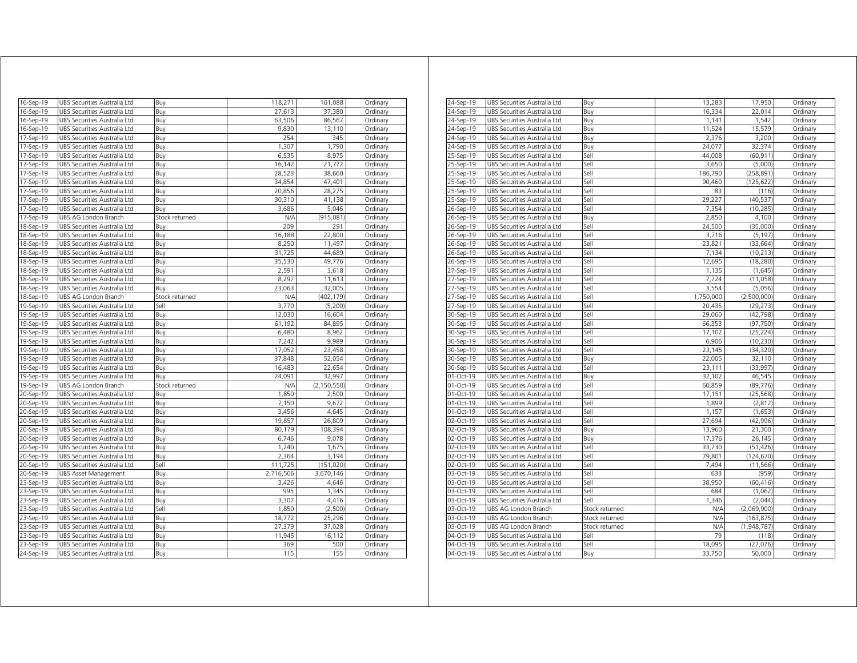| 16-Sep-19 | UBS Securities Australia Ltd | Buy            | 118,271   | 161,088       | Ordinary |
|-----------|------------------------------|----------------|-----------|---------------|----------|
| 16-Sep-19 | UBS Securities Australia Ltd | Buy            | 27,613    | 37,380        | Ordinary |
| 16-Sep-19 | UBS Securities Australia Ltd | Buy            | 63,506    | 86,567        | Ordinary |
| 16-Sep-19 | UBS Securities Australia Ltd | Buy            | 9,830     | 13,110        | Ordinary |
| 17-Sep-19 | UBS Securities Australia Ltd | Buy            | 254       | 345           | Ordinary |
| 17-Sep-19 | UBS Securities Australia Ltd | Buy            | 1,307     | 1,790         | Ordinary |
| 17-Sep-19 | UBS Securities Australia Ltd | Buy            | 6,535     | 8,975         | Ordinary |
| 17-Sep-19 | UBS Securities Australia Ltd | Buy            | 16,142    | 21,772        | Ordinary |
| 17-Sep-19 | UBS Securities Australia Ltd | Buy            | 28,523    | 38,660        | Ordinary |
| 17-Sep-19 | UBS Securities Australia Ltd | Buy            | 34,854    | 47,401        | Ordinary |
| 17-Sep-19 | UBS Securities Australia Ltd | Buy            | 20,856    | 28,275        | Ordinary |
| 17-Sep-19 | UBS Securities Australia Ltd | Buy            | 30,310    | 41,138        | Ordinary |
| 17-Sep-19 | UBS Securities Australia Ltd | Buy            | 3,686     | 5,046         | Ordinary |
| 17-Sep-19 | UBS AG London Branch         | Stock returned | N/A       | (915,081)     | Ordinary |
| 18-Sep-19 | UBS Securities Australia Ltd | Buy            | 209       | 291           | Ordinary |
| 18-Sep-19 | UBS Securities Australia Ltd | Buy            | 16,188    | 22,800        | Ordinary |
| 18-Sep-19 | UBS Securities Australia Ltd | Buy            | 8,250     | 11,497        | Ordinary |
| 18-Sep-19 | UBS Securities Australia Ltd | Buy            | 31,725    | 44,689        | Ordinary |
| 18-Sep-19 | UBS Securities Australia Ltd | Buy            | 35,530    | 49,776        | Ordinary |
| 18-Sep-19 | UBS Securities Australia Ltd | Buy            | 2,591     | 3,618         | Ordinary |
| 18-Sep-19 | UBS Securities Australia Ltd | Buy            | 8,297     | 11,613        | Ordinary |
| 18-Sep-19 | UBS Securities Australia Ltd | Buy            | 23,063    | 32,005        | Ordinary |
| 18-Sep-19 | UBS AG London Branch         | Stock returned | N/A       | (402, 179)    | Ordinary |
| 19-Sep-19 | UBS Securities Australia Ltd | Sell           | 3,770     | (5,200)       | Ordinary |
| 19-Sep-19 | UBS Securities Australia Ltd | Buy            | 12.030    | 16,604        | Ordinary |
| 19-Sep-19 | UBS Securities Australia Ltd | Buy            | 61,192    | 84,895        | Ordinary |
| 19-Sep-19 | UBS Securities Australia Ltd | Buy            | 6,480     | 8,962         | Ordinary |
| 19-Sep-19 | UBS Securities Australia Ltd | Buy            | 7,242     | 9,989         | Ordinary |
| 19-Sep-19 | UBS Securities Australia Ltd | Buv            | 17.052    | 23,458        | Ordinary |
| 19-Sep-19 | UBS Securities Australia Ltd | Buy            | 37,848    | 52,054        | Ordinary |
| 19-Sep-19 | UBS Securities Australia Ltd | Buy            | 16,483    | 22,654        | Ordinary |
| 19-Sep-19 | UBS Securities Australia Ltd | Buy            | 24,091    | 32,997        | Ordinary |
| 19-Sep-19 | UBS AG London Branch         | Stock returned | N/A       | (2, 150, 550) | Ordinary |
| 20-Sep-19 | UBS Securities Australia Ltd | Buy            | 1,850     | 2,500         | Ordinary |
| 20-Sep-19 | UBS Securities Australia Ltd | Buy            | 7,150     | 9,672         | Ordinary |
| 20-Sep-19 | UBS Securities Australia Ltd | Buy            | 3,456     | 4,645         | Ordinary |
| 20-Sep-19 | UBS Securities Australia Ltd | Buy            | 19,857    | 26,809        | Ordinary |
| 20-Sep-19 | UBS Securities Australia Ltd | Buy            | 80,179    | 108,394       | Ordinary |
| 20-Sep-19 | UBS Securities Australia Ltd | Buy            | 6,746     | 9,078         | Ordinary |
| 20-Sep-19 | UBS Securities Australia Ltd | Buy            | 1,240     | 1,675         | Ordinary |
| 20-Sep-19 | UBS Securities Australia Ltd | Buy            | 2,364     | 3,194         | Ordinary |
| 20-Sep-19 | UBS Securities Australia Ltd | Sell           | 111,725   | (151, 020)    | Ordinary |
| 20-Sep-19 | <b>UBS Asset Management</b>  | Buy            | 2,716,506 | 3,670,146     | Ordinary |
| 23-Sep-19 | UBS Securities Australia Ltd | Buy            | 3,426     | 4,646         | Ordinary |
| 23-Sep-19 | UBS Securities Australia Ltd | Buy            | 995       | 1,345         | Ordinary |
| 23-Sep-19 | UBS Securities Australia Ltd | Buy            | 3,307     | 4,416         | Ordinary |
| 23-Sep-19 | UBS Securities Australia Ltd | Sell           | 1,850     | (2,500)       | Ordinary |
| 23-Sep-19 | UBS Securities Australia Ltd | Buy            | 18,772    | 25,296        | Ordinary |
| 23-Sep-19 | UBS Securities Australia Ltd | Buy            | 27,379    | 37,028        | Ordinary |
| 23-Sep-19 | UBS Securities Australia Ltd | Buy            | 11,945    | 16,112        | Ordinary |
| 23-Sep-19 | UBS Securities Australia Ltd | Buy            | 369       | 500           | Ordinary |
| 24-Sep-19 | UBS Securities Australia Ltd | Buy            | 115       | 155           | Ordinary |

| 24-Sep-19     | UBS Securities Australia Ltd | Buy            | 13,283    | 17,950      | Ordinary |
|---------------|------------------------------|----------------|-----------|-------------|----------|
| 24-Sep-19     | UBS Securities Australia Ltd | Buy            | 16,334    | 22,014      | Ordinary |
| 24-Sep-19     | UBS Securities Australia Ltd |                | 1,141     | 1,542       | Ordinary |
|               |                              | Buy            |           |             |          |
| 24-Sep-19     | UBS Securities Australia Ltd | Buy            | 11,524    | 15,579      | Ordinary |
| 24-Sep-19     | UBS Securities Australia Ltd | Buy            | 2.376     | 3.200       | Ordinary |
| 24-Sep-19     | UBS Securities Australia Ltd | Buy            | 24,077    | 32,374      | Ordinary |
| 25-Sep-19     | UBS Securities Australia Ltd | Sell           | 44,008    | (60, 911)   | Ordinary |
| 25-Sep-19     | UBS Securities Australia Ltd | Sell           | 3,650     | (5,000)     | Ordinary |
| 25-Sep-19     | UBS Securities Australia Ltd | Sell           | 186,790   | (258, 891)  | Ordinary |
| 25-Sep-19     | UBS Securities Australia Ltd | Sell           | 90,460    | (125, 622)  | Ordinary |
| 25-Sep-19     | UBS Securities Australia Ltd | Sell           | 83        | (116)       | Ordinary |
| 25-Sep-19     | UBS Securities Australia Ltd | Sell           | 29,227    | (40, 537)   | Ordinary |
| 26-Sep-19     | UBS Securities Australia Ltd | Sell           | 7,354     | (10, 285)   | Ordinary |
| $26 - Sep-19$ | UBS Securities Australia Ltd | Buy            | 2.850     | 4,100       | Ordinary |
| 26-Sep-19     | UBS Securities Australia Ltd | Sell           | 24,500    | (35,000)    | Ordinary |
| 26-Sep-19     | UBS Securities Australia Ltd | Sell           | 3,716     | (5, 197)    | Ordinary |
| 26-Sep-19     | UBS Securities Australia Ltd | Sell           | 23,821    | (33, 664)   | Ordinary |
| 26-Sep-19     | UBS Securities Australia Ltd | Sell           | 7,134     | (10, 213)   | Ordinary |
| 26-Sep-19     | UBS Securities Australia Ltd | Sell           | 12,695    | (18, 280)   | Ordinary |
| 27-Sep-19     | UBS Securities Australia Ltd | Sell           | 1,135     | (1,645)     | Ordinary |
| 27-Sep-19     | UBS Securities Australia Ltd | Sell           | 7,724     | (11,058)    | Ordinary |
| 27-Sep-19     | UBS Securities Australia Ltd | Sell           | 3,554     | (5,056)     | Ordinary |
| 27-Sep-19     | UBS Securities Australia Ltd | Sell           | 1,750,000 | (2,500,000) | Ordinary |
| 27-Sep-19     | UBS Securities Australia Ltd | Sell           | 20,435    | (29, 273)   | Ordinary |
| 30-Sep-19     | UBS Securities Australia Ltd | Sell           | 29,060    | (42, 798)   | Ordinary |
| 30-Sep-19     | UBS Securities Australia Ltd | Sell           | 66,353    | (97, 750)   | Ordinary |
| 30-Sep-19     | UBS Securities Australia Ltd | Sell           | 17,102    | (25, 224)   | Ordinary |
| 30-Sep-19     | UBS Securities Australia Ltd | Sell           | 6,906     | (10, 230)   | Ordinary |
| 30-Sep-19     | UBS Securities Australia Ltd | Sell           | 23,145    | (34, 320)   | Ordinary |
| 30-Sep-19     | UBS Securities Australia Ltd | Buy            | 22,005    | 32,110      | Ordinary |
| 30-Sep-19     | UBS Securities Australia Ltd | Sell           | 23,111    | (33,997)    | Ordinary |
| 01-Oct-19     | UBS Securities Australia Ltd | Buv            | 32,102    | 46,545      | Ordinary |
| 01-Oct-19     | UBS Securities Australia Ltd | Sell           | 60,859    | (89, 776)   | Ordinary |
| 01-Oct-19     | UBS Securities Australia Ltd | Sell           | 17,151    | (25, 568)   | Ordinary |
| 01-Oct-19     | UBS Securities Australia Ltd | Sell           | 1,899     | (2, 812)    | Ordinary |
| 01-Oct-19     | UBS Securities Australia Ltd | Sell           | 1,157     | (1,653)     | Ordinary |
| 02-Oct-19     | UBS Securities Australia Ltd | Sell           | 27,694    | (42, 996)   | Ordinary |
| 02-Oct-19     | UBS Securities Australia Ltd | Buy            | 13,960    | 21,300      | Ordinary |
| 02-Oct-19     | UBS Securities Australia Ltd | Buy            | 17,376    | 26,145      | Ordinary |
| 02-Oct-19     | UBS Securities Australia Ltd | Sell           | 33,730    | (51, 426)   | Ordinary |
| 02-Oct-19     | UBS Securities Australia Ltd | Sell           | 79,801    | (124, 670)  | Ordinary |
| 02-Oct-19     | UBS Securities Australia Ltd | Sell           | 7,494     | (11, 566)   | Ordinary |
| 03-Oct-19     | UBS Securities Australia Ltd | Sell           | 633       | (959)       | Ordinary |
| 03-Oct-19     | UBS Securities Australia Ltd | Sell           | 38,950    | (60, 416)   | Ordinary |
| 03-Oct-19     | UBS Securities Australia Ltd | Sell           | 684       | (1,062)     | Ordinary |
| 03-Oct-19     | UBS Securities Australia Ltd | Sell           | 1,346     | (2,044)     | Ordinary |
| 03-Oct-19     | UBS AG London Branch         | Stock returned | N/A       | (2,069,900) | Ordinary |
| 03-Oct-19     | UBS AG London Branch         | Stock returned | N/A       | (163, 875)  | Ordinary |
| 03-Oct-19     | UBS AG London Branch         | Stock returned | N/A       | (1,948,787) | Ordinary |
| 04-Oct-19     | UBS Securities Australia Ltd | Sell           | 79        | (118)       | Ordinary |
| 04-Oct-19     | UBS Securities Australia Ltd | Sell           | 18,095    | (27, 076)   | Ordinary |
| 04-Oct-19     | UBS Securities Australia Ltd | Buy            | 33,750    | 50,000      | Ordinary |
|               |                              |                |           |             |          |